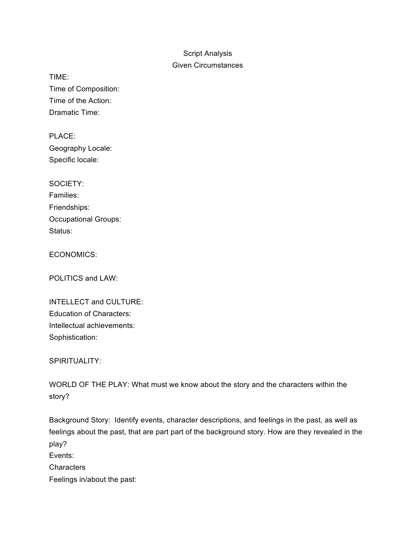## Script Analysis

## Given Circumstances

TIME: Time of Composition: Time of the Action: Dramatic Time:

PLACE: Geography Locale: Specific locale:

| SOCIETY:             |
|----------------------|
| Families:            |
| Friendships:         |
| Occupational Groups: |
| Status:              |

ECONOMICS:

POLITICS and LAW:

| <b>INTELLECT and CULTURE:</b>   |
|---------------------------------|
| <b>Education of Characters:</b> |
| Intellectual achievements:      |
| Sophistication:                 |

SPIRITUALITY:

WORLD OF THE PLAY: What must we know about the story and the characters within the story?

Background Story: Identify events, character descriptions, and feelings in the past, as well as feelings about the past, that are part part of the background story. How are they revealed in the play? Events: **Characters** Feelings in/about the past: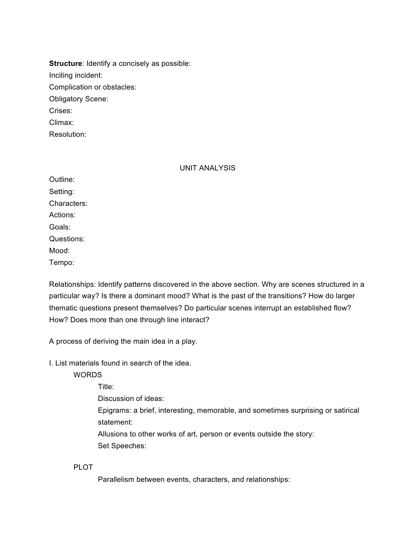**Structure**: Identify a concisely as possible: Inciting incident: Complication or obstacles: Obligatory Scene: Crises: Climax:

Resolution:

## UNIT ANALYSIS

Outline: Setting: Characters: Actions: Goals: Questions: Mood: Tempo:

Relationships: Identify patterns discovered in the above section. Why are scenes structured in a particular way? Is there a dominant mood? What is the past of the transitions? How do larger thematic questions present themselves? Do particular scenes interrupt an established flow? How? Does more than one through line interact?

A process of deriving the main idea in a play.

I. List materials found in search of the idea.

WORDS

Title: Discussion of ideas: Epigrams: a brief, interesting, memorable, and sometimes surprising or satirical statement: Allusions to other works of art, person or events outside the story: Set Speeches:

PLOT

Parallelism between events, characters, and relationships: